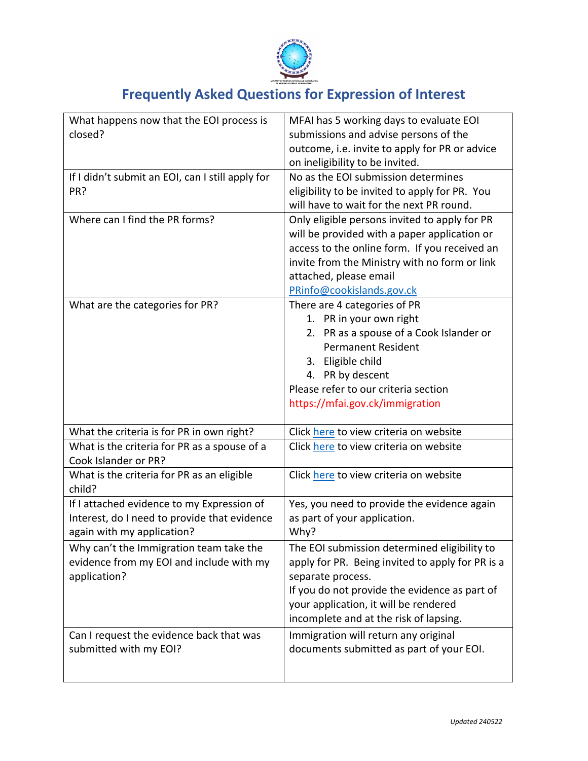

## **Frequently Asked Questions for Expression of Interest**

| What happens now that the EOI process is<br>closed?  | MFAI has 5 working days to evaluate EOI<br>submissions and advise persons of the  |
|------------------------------------------------------|-----------------------------------------------------------------------------------|
|                                                      | outcome, i.e. invite to apply for PR or advice<br>on ineligibility to be invited. |
| If I didn't submit an EOI, can I still apply for     | No as the EOI submission determines                                               |
| PR?                                                  | eligibility to be invited to apply for PR. You                                    |
|                                                      | will have to wait for the next PR round.                                          |
| Where can I find the PR forms?                       | Only eligible persons invited to apply for PR                                     |
|                                                      | will be provided with a paper application or                                      |
|                                                      | access to the online form. If you received an                                     |
|                                                      | invite from the Ministry with no form or link                                     |
|                                                      | attached, please email                                                            |
|                                                      | PRinfo@cookislands.gov.ck                                                         |
| What are the categories for PR?                      | There are 4 categories of PR                                                      |
|                                                      | 1. PR in your own right                                                           |
|                                                      | 2. PR as a spouse of a Cook Islander or                                           |
|                                                      | <b>Permanent Resident</b>                                                         |
|                                                      | 3. Eligible child                                                                 |
|                                                      | 4. PR by descent                                                                  |
|                                                      | Please refer to our criteria section                                              |
|                                                      | https://mfai.gov.ck/immigration                                                   |
| What the criteria is for PR in own right?            | Click here to view criteria on website                                            |
| What is the criteria for PR as a spouse of a         | Click here to view criteria on website                                            |
| Cook Islander or PR?                                 |                                                                                   |
| What is the criteria for PR as an eligible<br>child? | Click here to view criteria on website                                            |
| If I attached evidence to my Expression of           | Yes, you need to provide the evidence again                                       |
| Interest, do I need to provide that evidence         | as part of your application.                                                      |
| again with my application?                           | Why?                                                                              |
| Why can't the Immigration team take the              | The EOI submission determined eligibility to                                      |
| evidence from my EOI and include with my             | apply for PR. Being invited to apply for PR is a                                  |
| application?                                         | separate process.                                                                 |
|                                                      | If you do not provide the evidence as part of                                     |
|                                                      | your application, it will be rendered                                             |
|                                                      | incomplete and at the risk of lapsing.                                            |
| Can I request the evidence back that was             | Immigration will return any original                                              |
| submitted with my EOI?                               | documents submitted as part of your EOI.                                          |
|                                                      |                                                                                   |
|                                                      |                                                                                   |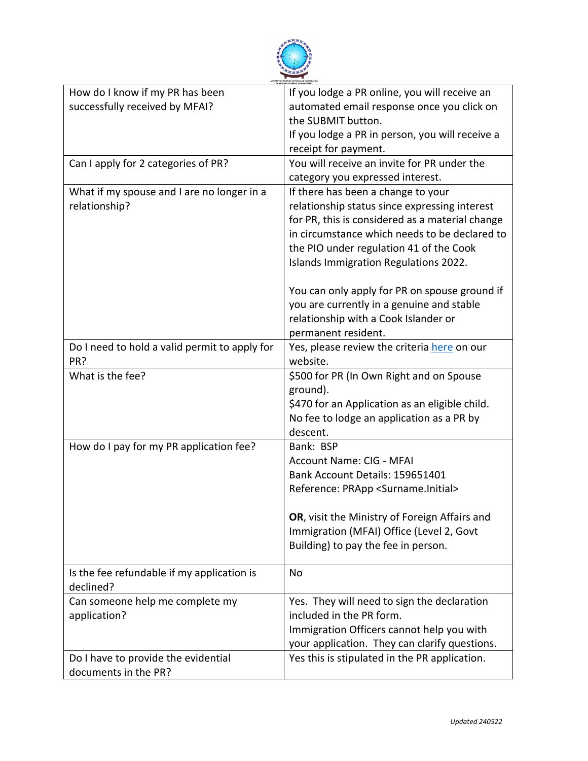

| How do I know if my PR has been               | If you lodge a PR online, you will receive an        |
|-----------------------------------------------|------------------------------------------------------|
| successfully received by MFAI?                | automated email response once you click on           |
|                                               | the SUBMIT button.                                   |
|                                               | If you lodge a PR in person, you will receive a      |
|                                               | receipt for payment.                                 |
| Can I apply for 2 categories of PR?           | You will receive an invite for PR under the          |
|                                               | category you expressed interest.                     |
| What if my spouse and I are no longer in a    | If there has been a change to your                   |
| relationship?                                 | relationship status since expressing interest        |
|                                               | for PR, this is considered as a material change      |
|                                               | in circumstance which needs to be declared to        |
|                                               | the PIO under regulation 41 of the Cook              |
|                                               | Islands Immigration Regulations 2022.                |
|                                               |                                                      |
|                                               | You can only apply for PR on spouse ground if        |
|                                               | you are currently in a genuine and stable            |
|                                               | relationship with a Cook Islander or                 |
|                                               | permanent resident.                                  |
| Do I need to hold a valid permit to apply for | Yes, please review the criteria here on our          |
| PR?                                           | website.                                             |
| What is the fee?                              | \$500 for PR (In Own Right and on Spouse             |
|                                               | ground).                                             |
|                                               | \$470 for an Application as an eligible child.       |
|                                               | No fee to lodge an application as a PR by            |
|                                               | descent.                                             |
| How do I pay for my PR application fee?       | Bank: BSP                                            |
|                                               | Account Name: CIG - MFAI                             |
|                                               | Bank Account Details: 159651401                      |
|                                               | Reference: PRApp <surname.initial></surname.initial> |
|                                               |                                                      |
|                                               | OR, visit the Ministry of Foreign Affairs and        |
|                                               | Immigration (MFAI) Office (Level 2, Govt             |
|                                               | Building) to pay the fee in person.                  |
|                                               |                                                      |
| Is the fee refundable if my application is    | No                                                   |
| declined?                                     |                                                      |
| Can someone help me complete my               | Yes. They will need to sign the declaration          |
| application?                                  | included in the PR form.                             |
|                                               | Immigration Officers cannot help you with            |
|                                               | your application. They can clarify questions.        |
| Do I have to provide the evidential           | Yes this is stipulated in the PR application.        |
| documents in the PR?                          |                                                      |
|                                               |                                                      |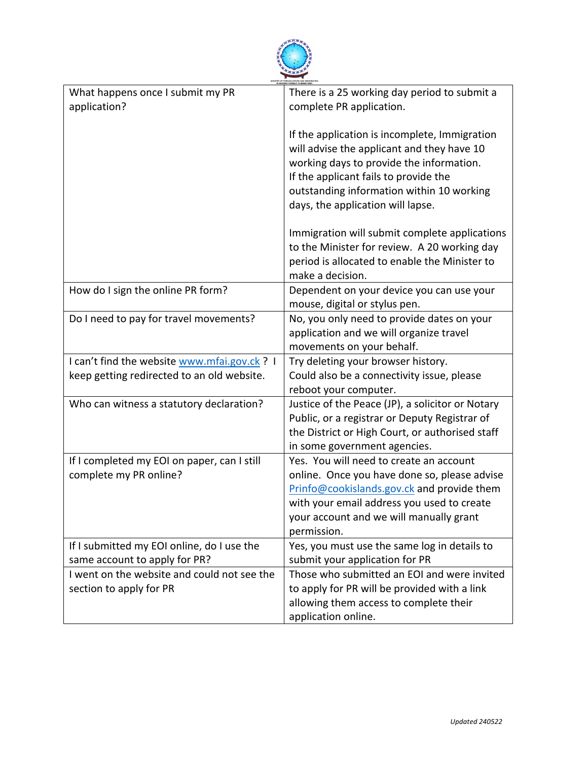

| There is a 25 working day period to submit a     |
|--------------------------------------------------|
| complete PR application.                         |
|                                                  |
| If the application is incomplete, Immigration    |
| will advise the applicant and they have 10       |
| working days to provide the information.         |
|                                                  |
| If the applicant fails to provide the            |
| outstanding information within 10 working        |
| days, the application will lapse.                |
| Immigration will submit complete applications    |
| to the Minister for review. A 20 working day     |
| period is allocated to enable the Minister to    |
| make a decision.                                 |
|                                                  |
| Dependent on your device you can use your        |
| mouse, digital or stylus pen.                    |
| No, you only need to provide dates on your       |
| application and we will organize travel          |
| movements on your behalf.                        |
| Try deleting your browser history.               |
| Could also be a connectivity issue, please       |
| reboot your computer.                            |
| Justice of the Peace (JP), a solicitor or Notary |
| Public, or a registrar or Deputy Registrar of    |
| the District or High Court, or authorised staff  |
|                                                  |
| in some government agencies.                     |
| Yes. You will need to create an account          |
| online. Once you have done so, please advise     |
| Prinfo@cookislands.gov.ck and provide them       |
| with your email address you used to create       |
| your account and we will manually grant          |
| permission.                                      |
| Yes, you must use the same log in details to     |
| submit your application for PR                   |
| Those who submitted an EOI and were invited      |
| to apply for PR will be provided with a link     |
| allowing them access to complete their           |
| application online.                              |
|                                                  |